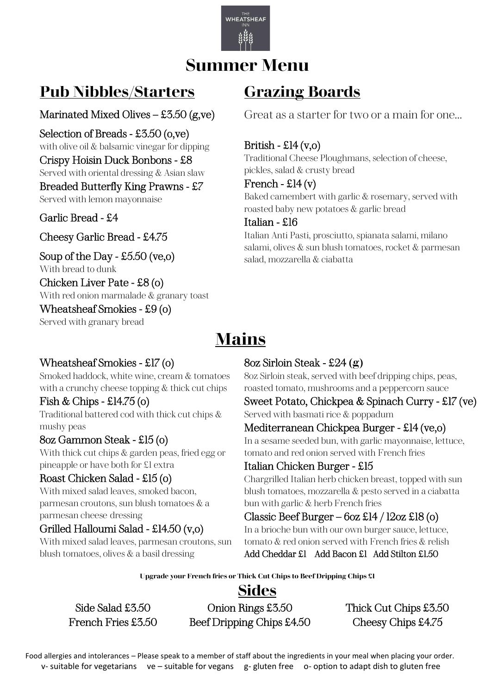

### **Summer Menu**

### **Pub Nibbles/Starters**

#### Marinated Mixed Olives – £3.50 (g,ve) j

Selection of Breads - £3.50 (o,ve) with olive oil & balsamic vinegar for dipping Crispy Hoisin Duck Bonbons - £8 Served with oriental dressing & Asian slaw Breaded Butterfly King Prawns - £7 Served with lemon mayonnaise

#### Garlic Bread - £4 ľ

Cheesy Garlic Bread - £4.75

Soup of the Day - £5.50 (ve,o) With bread to dunk Chicken Liver Pate - £8 (o)

With red onion marmalade & granary toast Wheatsheaf Smokies - £9 (o)

Served with granary bread

### **Grazing Boards**

Great as a starter for two or a main for one…

#### British -  $\text{\pounds}14 \, (v,o)$

Traditional Cheese Ploughmans, selection of cheese, pickles, salad & crusty bread

#### French -  $\text{£}14 \text{ (v)}$

Baked camembert with garlic & rosemary, served with roasted baby new potatoes & garlic bread

#### Italian - £16

Italian Anti Pasti, prosciutto, spianata salami, milano salami, olives & sun blush tomatoes, rocket & parmesan salad, mozzarella & ciabatta

### **Mains**

#### Wheatsheaf Smokies - £17 (o)

Smoked haddock, white wine, cream & tomatoes with a crunchy cheese topping & thick cut chips

#### Fish & Chips - £14.75 (o)

Traditional battered cod with thick cut chips & mushy peas

#### 8oz Gammon Steak - £15 (o)

With thick cut chips & garden peas, fried egg or pineapple or have both for £1 extra

#### Roast Chicken Salad - £15 (o)

With mixed salad leaves, smoked bacon, parmesan croutons, sun blush tomatoes & a parmesan cheese dressing

### Grilled Halloumi Salad - £14.50 (v,o)

With mixed salad leaves, parmesan croutons, sun blush tomatoes, olives & a basil dressing 

#### 8oz Sirloin Steak - £24 **(g)**

8oz Sirloin steak, served with beef dripping chips, peas, roasted tomato, mushrooms and a peppercorn sauce

Sweet Potato, Chickpea & Spinach Curry - £17 (ve) Served with basmati rice & poppadum

#### Mediterranean Chickpea Burger - £14 (ve,o)

In a sesame seeded bun, with garlic mayonnaise, lettuce, tomato and red onion served with French fries

#### Italian Chicken Burger - £15

Chargrilled Italian herb chicken breast, topped with sun blush tomatoes, mozzarella & pesto served in a ciabatta bun with garlic & herb French fries

#### Classic Beef Burger –  $6$ oz £14 / 12oz £18 (o)

In a brioche bun with our own burger sauce, lettuce, tomato & red onion served with French fries & relish Add Cheddar £1 Add Bacon £1 Add Stilton £1.50

**Upgrade your French fries or Thick Cut Chips to Beef Dripping Chips £1**

### **Sides**

Side Salad £3.50 Chion Rings £3.50 Thick Cut Chips £3.50 French Fries £3.50 Beef Dripping Chips £4.50 Cheesy Chips £4.75